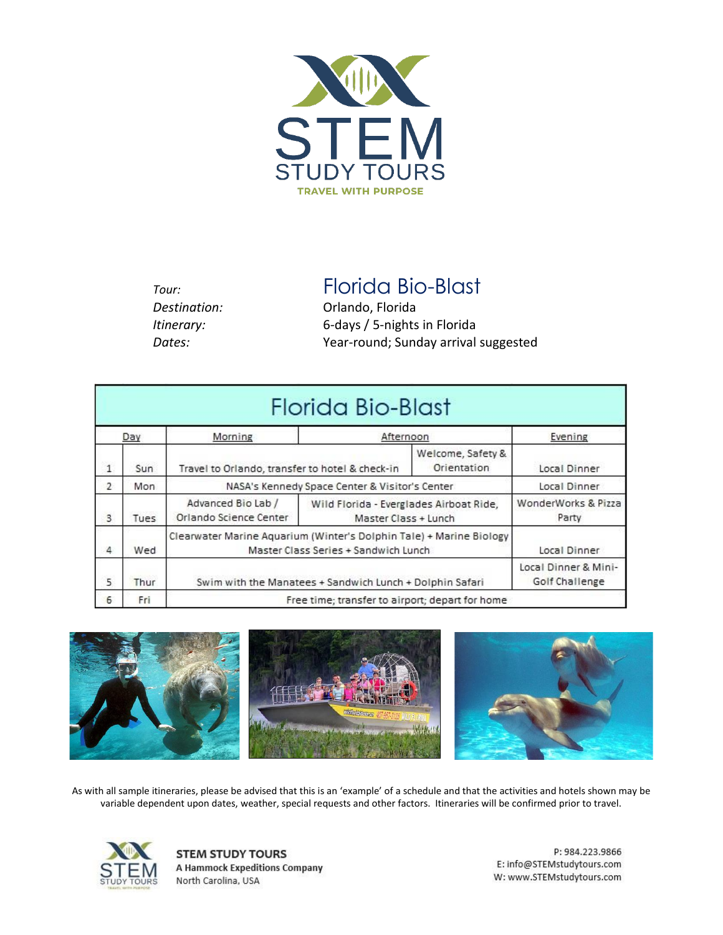

*Destination:* Orlando, Florida

*Tour:* Florida Bio-Blast

*Itinerary:* 6*-*days / 5-nights in Florida *Dates:* Year-round; Sunday arrival suggested

|                |      |                                                                                                             | Florida Bio-Blast                                               |                                        |                              |  |
|----------------|------|-------------------------------------------------------------------------------------------------------------|-----------------------------------------------------------------|----------------------------------------|------------------------------|--|
| Day            |      | Morning                                                                                                     | Afternoon                                                       |                                        | Evening                      |  |
| 1              | Sun  | Travel to Orlando, transfer to hotel & check-in                                                             |                                                                 | Welcome, Safety &<br>Orientation       | Local Dinner                 |  |
| $\overline{2}$ | Mon. | NASA's Kennedy Space Center & Visitor's Center                                                              |                                                                 | Local Dinner                           |                              |  |
| 3              | Tues | Advanced Bio Lab /<br>Orlando Science Center                                                                | Wild Florida - Everglades Airboat Ride,<br>Master Class + Lunch |                                        | WonderWorks & Pizza<br>Party |  |
| 4              | Wed  | Clearwater Marine Aquarium (Winter's Dolphin Tale) + Marine Biology<br>Master Class Series + Sandwich Lunch |                                                                 | Local Dinner                           |                              |  |
| 5              | Thur | Swim with the Manatees + Sandwich Lunch + Dolphin Safari                                                    |                                                                 | Local Dinner & Mini-<br>Golf Challenge |                              |  |
| 6              | Fri  | Free time; transfer to airport; depart for home                                                             |                                                                 |                                        |                              |  |



As with all sample itineraries, please be advised that this is an 'example' of a schedule and that the activities and hotels shown may be variable dependent upon dates, weather, special requests and other factors. Itineraries will be confirmed prior to travel.



**STEM STUDY TOURS A Hammock Expeditions Company** North Carolina, USA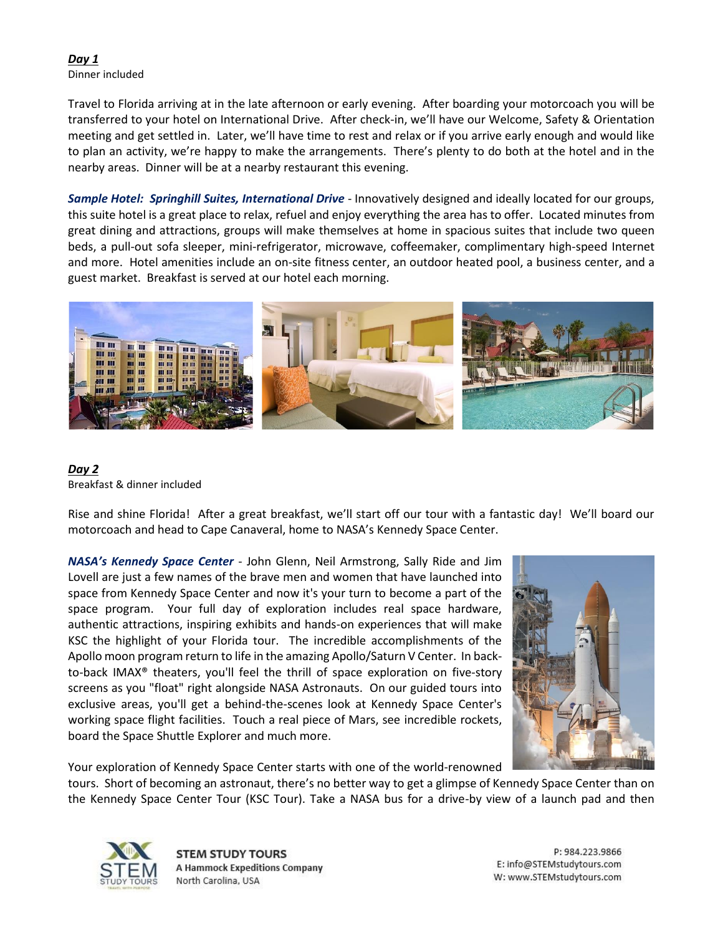#### *Day 1* Dinner included

Travel to Florida arriving at in the late afternoon or early evening. After boarding your motorcoach you will be transferred to your hotel on International Drive. After check-in, we'll have our Welcome, Safety & Orientation meeting and get settled in. Later, we'll have time to rest and relax or if you arrive early enough and would like to plan an activity, we're happy to make the arrangements. There's plenty to do both at the hotel and in the nearby areas. Dinner will be at a nearby restaurant this evening.

*Sample Hotel: Springhill Suites, International Drive* - Innovatively designed and ideally located for our groups, this suite hotel is a great place to relax, refuel and enjoy everything the area has to offer. Located minutes from great dining and attractions, groups will make themselves at home in spacious suites that include two queen beds, a pull-out sofa sleeper, mini-refrigerator, microwave, coffeemaker, complimentary high-speed Internet and more. Hotel amenities include an on-site fitness center, an outdoor heated pool, a business center, and a guest market. Breakfast is served at our hotel each morning.



### *Day 2* Breakfast & dinner included

Rise and shine Florida! After a great breakfast, we'll start off our tour with a fantastic day! We'll board our motorcoach and head to Cape Canaveral, home to NASA's Kennedy Space Center.

*NASA's Kennedy Space Center* - John Glenn, Neil Armstrong, Sally Ride and Jim Lovell are just a few names of the brave men and women that have launched into space from Kennedy Space Center and now it's your turn to become a part of the space program. Your full day of exploration includes real space hardware, authentic attractions, inspiring exhibits and hands-on experiences that will make KSC the highlight of your Florida tour. The incredible accomplishments of the Apollo moon program return to life in the amazing Apollo/Saturn V Center. In backto-back IMAX® theaters, you'll feel the thrill of space exploration on five-story screens as you "float" right alongside NASA Astronauts. On our guided tours into exclusive areas, you'll get a behind-the-scenes look at Kennedy Space Center's working space flight facilities. Touch a real piece of Mars, see incredible rockets, board the Space Shuttle Explorer and much more.



Your exploration of Kennedy Space Center starts with one of the world-renowned

tours. Short of becoming an astronaut, there's no better way to get a glimpse of Kennedy Space Center than on the Kennedy Space Center Tour (KSC Tour). Take a NASA bus for a drive-by view of a launch pad and then



**STEM STUDY TOURS A Hammock Expeditions Company** North Carolina, USA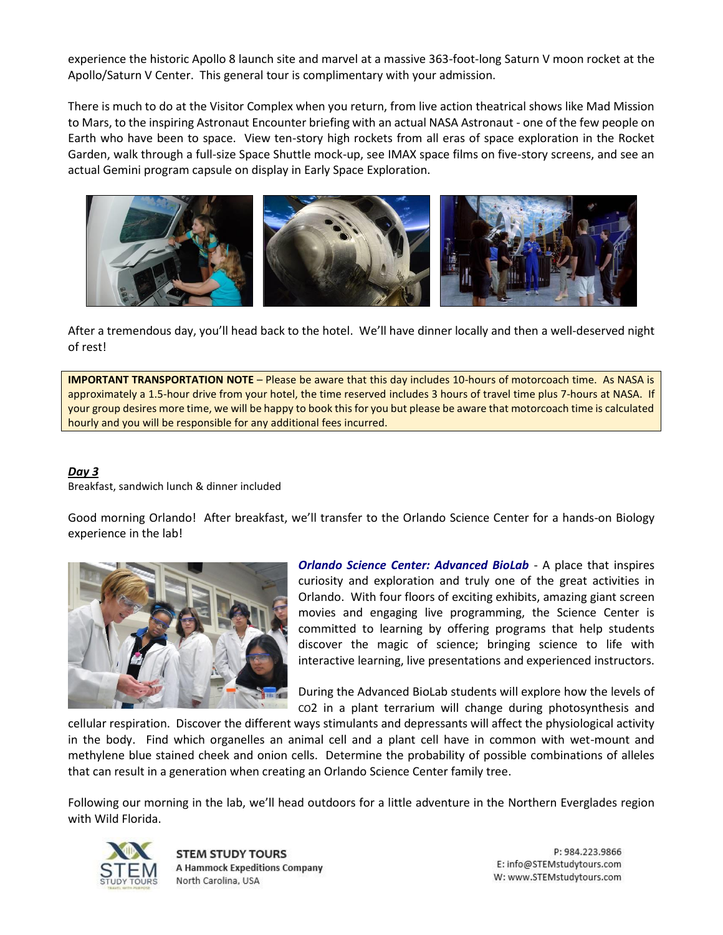experience the historic Apollo 8 launch site and marvel at a massive 363-foot-long Saturn V moon rocket at the Apollo/Saturn V Center. This general tour is complimentary with your admission.

There is much to do at the Visitor Complex when you return, from live action theatrical shows like Mad Mission to Mars, to the inspiring Astronaut Encounter briefing with an actual NASA Astronaut - one of the few people on Earth who have been to space. View ten-story high rockets from all eras of space exploration in the Rocket Garden, walk through a full-size Space Shuttle mock-up, see IMAX space films on five-story screens, and see an actual Gemini program capsule on display in Early Space Exploration.



After a tremendous day, you'll head back to the hotel. We'll have dinner locally and then a well-deserved night of rest!

**IMPORTANT TRANSPORTATION NOTE** – Please be aware that this day includes 10-hours of motorcoach time. As NASA is approximately a 1.5-hour drive from your hotel, the time reserved includes 3 hours of travel time plus 7-hours at NASA. If your group desires more time, we will be happy to book this for you but please be aware that motorcoach time is calculated hourly and you will be responsible for any additional fees incurred.

## *Day 3*

Breakfast, sandwich lunch & dinner included

Good morning Orlando! After breakfast, we'll transfer to the Orlando Science Center for a hands-on Biology experience in the lab!



*Orlando Science Center: Advanced BioLab* - A place that inspires curiosity and exploration and truly one of the great activities in Orlando. With four floors of exciting exhibits, amazing giant screen movies and engaging live programming, the Science Center is committed to learning by offering programs that help students discover the magic of science; bringing science to life with interactive learning, live presentations and experienced instructors.

During the Advanced BioLab students will explore how the levels of CO2 in a plant terrarium will change during photosynthesis and

cellular respiration. Discover the different ways stimulants and depressants will affect the physiological activity in the body. Find which organelles an animal cell and a plant cell have in common with wet-mount and methylene blue stained cheek and onion cells. Determine the probability of possible combinations of alleles that can result in a generation when creating an Orlando Science Center family tree.

Following our morning in the lab, we'll head outdoors for a little adventure in the Northern Everglades region with Wild Florida.



**STEM STUDY TOURS A Hammock Expeditions Company** North Carolina, USA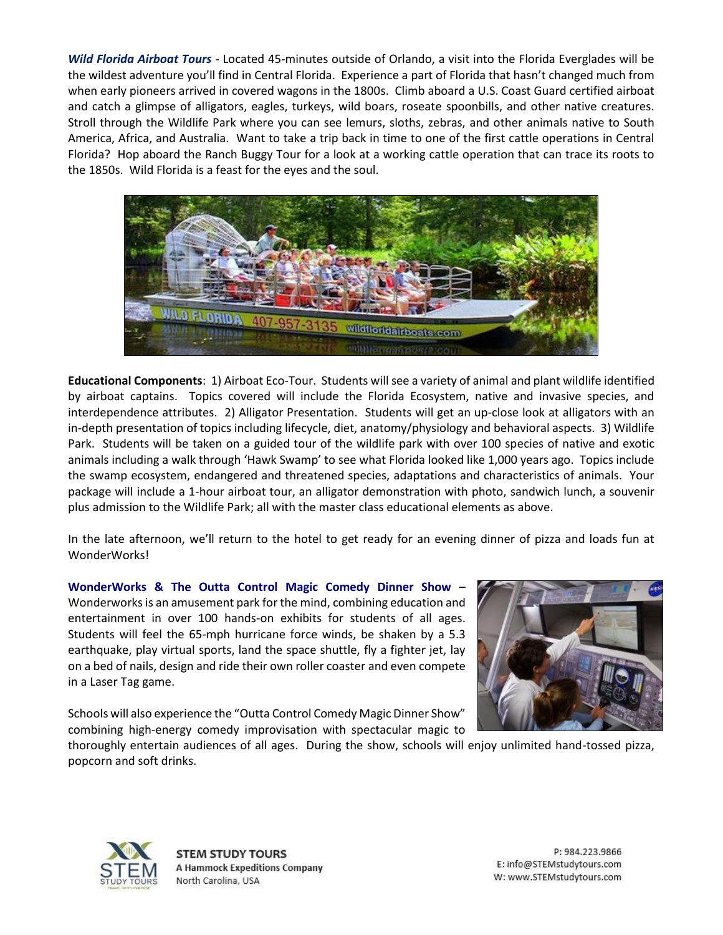*Wild Florida Airboat Tours* - Located 45-minutes outside of Orlando, a visit into the Florida Everglades will be the wildest adventure you'll find in Central Florida. Experience a part of Florida that hasn't changed much from when early pioneers arrived in covered wagons in the 1800s. Climb aboard a U.S. Coast Guard certified airboat and catch a glimpse of alligators, eagles, turkeys, wild boars, roseate spoonbills, and other native creatures. Stroll through the Wildlife Park where you can see lemurs, sloths, zebras, and other animals native to South America, Africa, and Australia. Want to take a trip back in time to one of the first cattle operations in Central Florida? Hop aboard the Ranch Buggy Tour for a look at a working cattle operation that can trace its roots to the 1850s. Wild Florida is a feast for the eyes and the soul.



**Educational Components**: 1) Airboat Eco-Tour. Students will see a variety of animal and plant wildlife identified by airboat captains. Topics covered will include the Florida Ecosystem, native and invasive species, and interdependence attributes. 2) Alligator Presentation. Students will get an up-close look at alligators with an in-depth presentation of topics including lifecycle, diet, anatomy/physiology and behavioral aspects. 3) Wildlife Park. Students will be taken on a guided tour of the wildlife park with over 100 species of native and exotic animals including a walk through 'Hawk Swamp' to see what Florida looked like 1,000 years ago. Topics include the swamp ecosystem, endangered and threatened species, adaptations and characteristics of animals. Your package will include a 1-hour airboat tour, an alligator demonstration with photo, sandwich lunch, a souvenir plus admission to the Wildlife Park; all with the master class educational elements as above.

In the late afternoon, we'll return to the hotel to get ready for an evening dinner of pizza and loads fun at WonderWorks!

**WonderWorks & The Outta Control Magic Comedy Dinner Show** – Wonderworks is an amusement park for the mind, combining education and entertainment in over 100 hands-on exhibits for students of all ages. Students will feel the 65-mph hurricane force winds, be shaken by a 5.3 earthquake, play virtual sports, land the space shuttle, fly a fighter jet, lay on a bed of nails, design and ride their own roller coaster and even compete in a Laser Tag game.



Schools will also experience the "Outta Control Comedy Magic Dinner Show" combining high-energy comedy improvisation with spectacular magic to

thoroughly entertain audiences of all ages. During the show, schools will enjoy unlimited hand-tossed pizza, popcorn and soft drinks.



**STEM STUDY TOURS A Hammock Expeditions Company** North Carolina, USA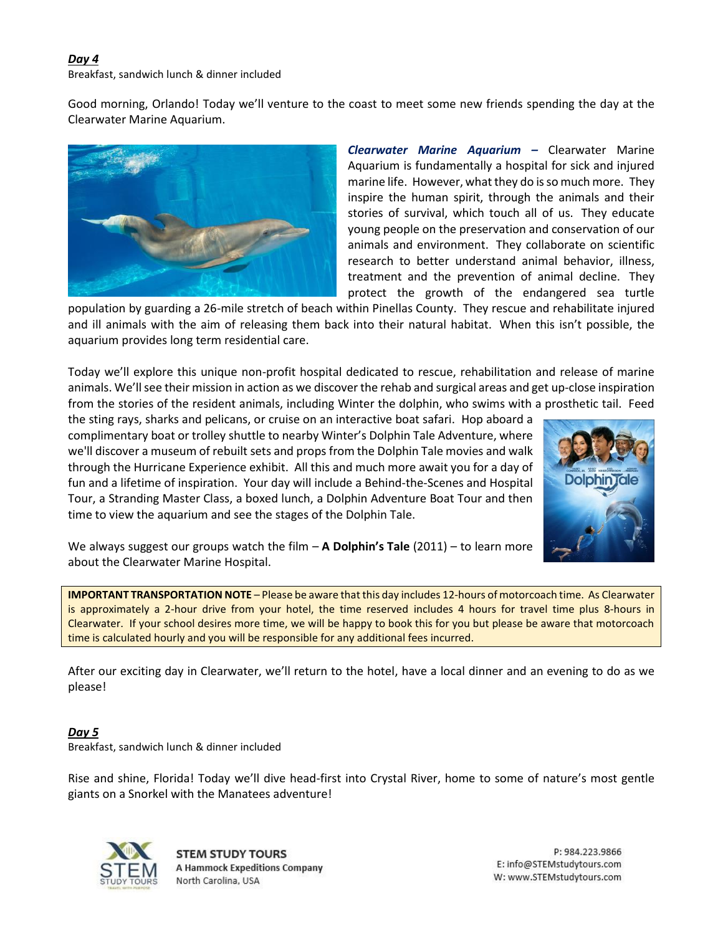## *Day 4*

Breakfast, sandwich lunch & dinner included

Good morning, Orlando! Today we'll venture to the coast to meet some new friends spending the day at the Clearwater Marine Aquarium.



*Clearwater Marine Aquarium –* Clearwater Marine Aquarium is fundamentally a hospital for sick and injured marine life. However, what they do is so much more. They inspire the human spirit, through the animals and their stories of survival, which touch all of us. They educate young people on the preservation and conservation of our animals and environment. They collaborate on scientific research to better understand animal behavior, illness, treatment and the prevention of animal decline. They protect the growth of the endangered sea turtle

population by guarding a 26-mile stretch of beach within Pinellas County. They rescue and rehabilitate injured and ill animals with the aim of releasing them back into their natural habitat. When this isn't possible, the aquarium provides long term residential care.

Today we'll explore this unique non-profit hospital dedicated to rescue, rehabilitation and release of marine animals. We'll see their mission in action as we discover the rehab and surgical areas and get up-close inspiration from the stories of the resident animals, including Winter the dolphin, who swims with a prosthetic tail. Feed

the sting rays, sharks and pelicans, or cruise on an interactive boat safari. Hop aboard a complimentary boat or trolley shuttle to nearby Winter's Dolphin Tale Adventure, where we'll discover a museum of rebuilt sets and props from the Dolphin Tale movies and walk through the Hurricane Experience exhibit. All this and much more await you for a day of fun and a lifetime of inspiration. Your day will include a Behind-the-Scenes and Hospital Tour, a Stranding Master Class, a boxed lunch, a Dolphin Adventure Boat Tour and then time to view the aquarium and see the stages of the Dolphin Tale.



We always suggest our groups watch the film – **A Dolphin's Tale** (2011) – to learn more about the Clearwater Marine Hospital.

**IMPORTANT TRANSPORTATION NOTE** – Please be aware that this day includes 12-hours of motorcoach time. As Clearwater is approximately a 2-hour drive from your hotel, the time reserved includes 4 hours for travel time plus 8-hours in Clearwater. If your school desires more time, we will be happy to book this for you but please be aware that motorcoach time is calculated hourly and you will be responsible for any additional fees incurred.

After our exciting day in Clearwater, we'll return to the hotel, have a local dinner and an evening to do as we please!

*Day 5* Breakfast, sandwich lunch & dinner included

Rise and shine, Florida! Today we'll dive head-first into Crystal River, home to some of nature's most gentle giants on a Snorkel with the Manatees adventure!



**STEM STUDY TOURS A Hammock Expeditions Company** North Carolina, USA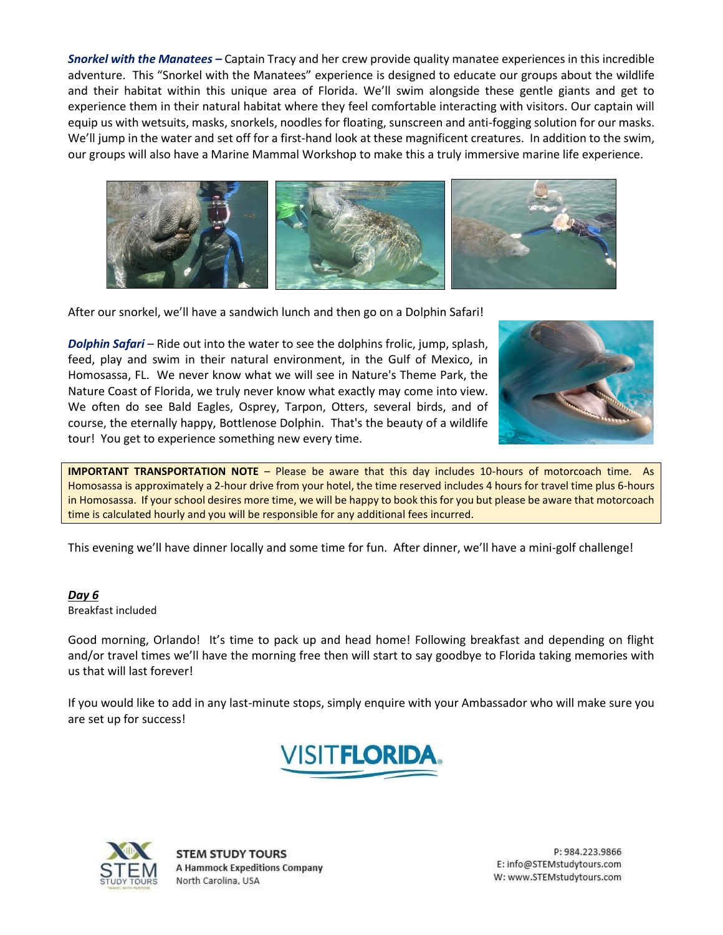*Snorkel with the Manatees –* Captain Tracy and her crew provide quality manatee experiences in this incredible adventure. This "Snorkel with the Manatees" experience is designed to educate our groups about the wildlife and their habitat within this unique area of Florida. We'll swim alongside these gentle giants and get to experience them in their natural habitat where they feel comfortable interacting with visitors. Our captain will equip us with wetsuits, masks, snorkels, noodles for floating, sunscreen and anti-fogging solution for our masks. We'll jump in the water and set off for a first-hand look at these magnificent creatures. In addition to the swim, our groups will also have a Marine Mammal Workshop to make this a truly immersive marine life experience.



After our snorkel, we'll have a sandwich lunch and then go on a Dolphin Safari!

*Dolphin Safari* – Ride out into the water to see the dolphins frolic, jump, splash, feed, play and swim in their natural environment, in the Gulf of Mexico, in Homosassa, FL. We never know what we will see in Nature's Theme Park, the Nature Coast of Florida, we truly never know what exactly may come into view. We often do see Bald Eagles, Osprey, Tarpon, Otters, several birds, and of course, the eternally happy, Bottlenose Dolphin. That's the beauty of a wildlife tour! You get to experience something new every time.



**IMPORTANT TRANSPORTATION NOTE** – Please be aware that this day includes 10-hours of motorcoach time. As Homosassa is approximately a 2-hour drive from your hotel, the time reserved includes 4 hours for travel time plus 6-hours in Homosassa. If your school desires more time, we will be happy to book this for you but please be aware that motorcoach time is calculated hourly and you will be responsible for any additional fees incurred.

This evening we'll have dinner locally and some time for fun. After dinner, we'll have a mini-golf challenge!

### *Day 6*

Breakfast included

Good morning, Orlando! It's time to pack up and head home! Following breakfast and depending on flight and/or travel times we'll have the morning free then will start to say goodbye to Florida taking memories with us that will last forever!

If you would like to add in any last-minute stops, simply enquire with your Ambassador who will make sure you are set up for success!





**STEM STUDY TOURS A Hammock Expeditions Company** North Carolina, USA